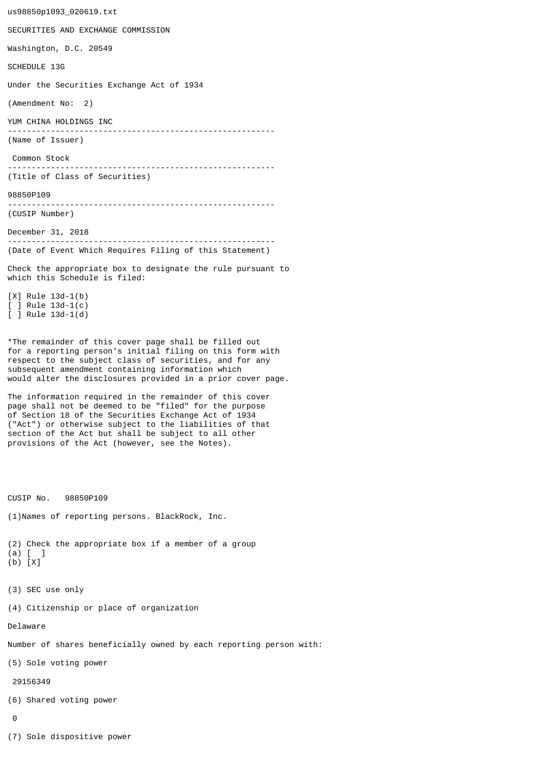us98850p1093\_020619.txt SECURITIES AND EXCHANGE COMMISSION Washington, D.C. 20549 SCHEDULE 13G Under the Securities Exchange Act of 1934 (Amendment No: 2) YUM CHINA HOLDINGS INC -------------------------------------------------------- (Name of Issuer) Common Stock -------------------------------------------------------- (Title of Class of Securities) 98850P109 -------------------------------------------------------- (CUSIP Number) December 31, 2018 -------------------------------------------------------- (Date of Event Which Requires Filing of this Statement) Check the appropriate box to designate the rule pursuant to which this Schedule is filed: [X] Rule 13d-1(b)  $[ ]$  Rule 13d-1(c)  $[ ]$  Rule 13d-1(d) \*The remainder of this cover page shall be filled out for a reporting person's initial filing on this form with respect to the subject class of securities, and for any subsequent amendment containing information which would alter the disclosures provided in a prior cover page. The information required in the remainder of this cover page shall not be deemed to be "filed" for the purpose of Section 18 of the Securities Exchange Act of 1934 ("Act") or otherwise subject to the liabilities of that section of the Act but shall be subject to all other provisions of the Act (however, see the Notes). CUSIP No. 98850P109

(1)Names of reporting persons. BlackRock, Inc.

```
(2) Check the appropriate box if a member of a group
(a) [ ]
(b) \overline{X}]
```
(3) SEC use only

(4) Citizenship or place of organization

Delaware

Number of shares beneficially owned by each reporting person with:

(5) Sole voting power

29156349

(6) Shared voting power

 $\Theta$ 

(7) Sole dispositive power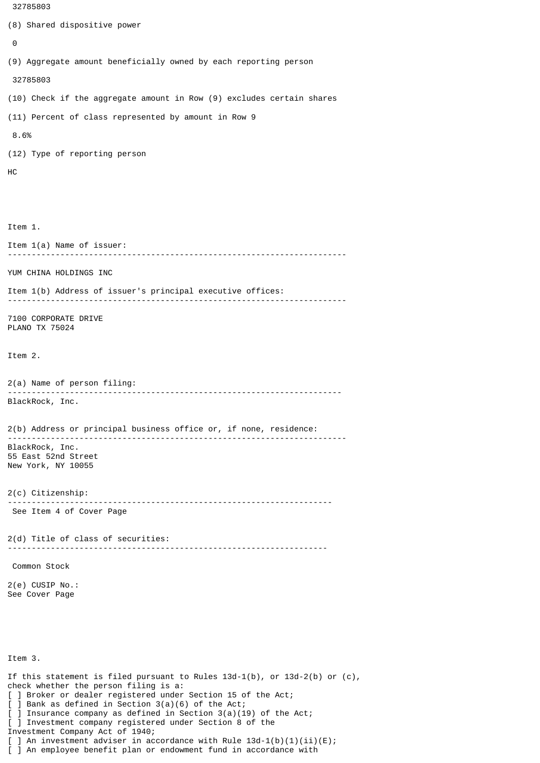```
 32785803
(8) Shared dispositive power
\Omega(9) Aggregate amount beneficially owned by each reporting person
 32785803
(10) Check if the aggregate amount in Row (9) excludes certain shares
(11) Percent of class represented by amount in Row 9
 8.6%
(12) Type of reporting person
HC
Item 1.
Item 1(a) Name of issuer:
-----------------------------------------------------------------------
YUM CHINA HOLDINGS INC
Item 1(b) Address of issuer's principal executive offices:
-----------------------------------------------------------------------
7100 CORPORATE DRIVE
PLANO TX 75024
Item 2.
2(a) Name of person filing:
                            ----------------------------------------------------------------------
BlackRock, Inc.
2(b) Address or principal business office or, if none, residence:
   -----------------------------------------------------------------------
BlackRock, Inc.
55 East 52nd Street
New York, NY 10055
2(c) Citizenship:
                          --------------------------------------------------------------------
 See Item 4 of Cover Page
2(d) Title of class of securities:
-------------------------------------------------------------------
 Common Stock
2(e) CUSIP No.:
See Cover Page
Item 3.
If this statement is filed pursuant to Rules 13d-1(b), or 13d-2(b) or (c),
check whether the person filing is a:
[ ] Broker or dealer registered under Section 15 of the Act;
[ ] Bank as defined in Section 3(a)(6) of the Act;
[ ] Insurance company as defined in Section 3(a)(19) of the Act;
[ ] Investment company registered under Section 8 of the
Investment Company Act of 1940;
```
[ ] An investment adviser in accordance with Rule  $13d-1(b)(1)(ii)(E)$ ;

[ ] An employee benefit plan or endowment fund in accordance with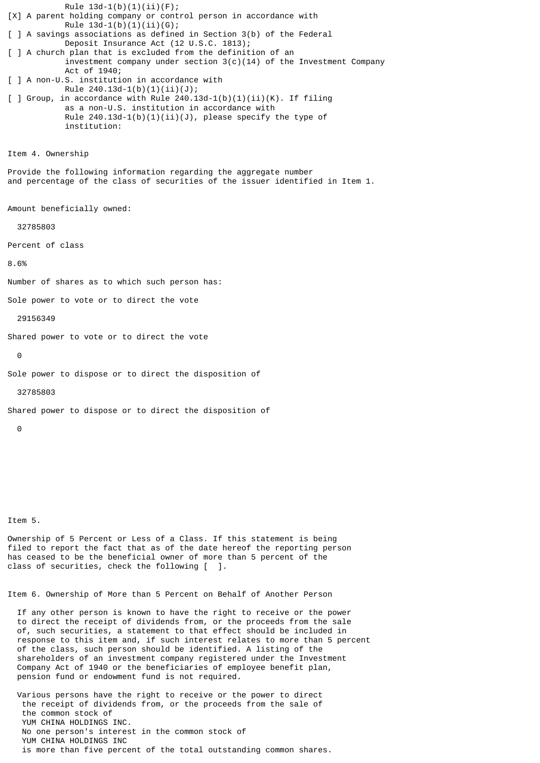```
Rule 13d-1(b)(1)(ii)(F);[X] A parent holding company or control person in accordance with
            Rule 13d-1(b)(1)(ii)(G);[ ] A savings associations as defined in Section 3(b) of the Federal
             Deposit Insurance Act (12 U.S.C. 1813);
[ ] A church plan that is excluded from the definition of an
             investment company under section 3(c)(14) of the Investment Company
             Act of 1940;
[ ] A non-U.S. institution in accordance with
            Rule 240.13d-1(b)(1)(ii)(J);\lceil ] Group, in accordance with Rule 240.13d-1(b)(1)(ii)(K). If filing
             as a non-U.S. institution in accordance with
            Rule 240.13d-1(b)(1)(ii)(J), please specify the type of
             institution:
Item 4. Ownership
Provide the following information regarding the aggregate number
```
and percentage of the class of securities of the issuer identified in Item 1.

Amount beneficially owned:

32785803

Percent of class

8.6%

Number of shares as to which such person has:

Sole power to vote or to direct the vote

29156349

Shared power to vote or to direct the vote

 $\Theta$ 

Sole power to dispose or to direct the disposition of

32785803

Shared power to dispose or to direct the disposition of

 $\Omega$ 

## Item 5.

Ownership of 5 Percent or Less of a Class. If this statement is being filed to report the fact that as of the date hereof the reporting person has ceased to be the beneficial owner of more than 5 percent of the class of securities, check the following [ ].

Item 6. Ownership of More than 5 Percent on Behalf of Another Person

 If any other person is known to have the right to receive or the power to direct the receipt of dividends from, or the proceeds from the sale of, such securities, a statement to that effect should be included in response to this item and, if such interest relates to more than 5 percent of the class, such person should be identified. A listing of the shareholders of an investment company registered under the Investment Company Act of 1940 or the beneficiaries of employee benefit plan, pension fund or endowment fund is not required.

 Various persons have the right to receive or the power to direct the receipt of dividends from, or the proceeds from the sale of the common stock of YUM CHINA HOLDINGS INC. No one person's interest in the common stock of YUM CHINA HOLDINGS INC is more than five percent of the total outstanding common shares.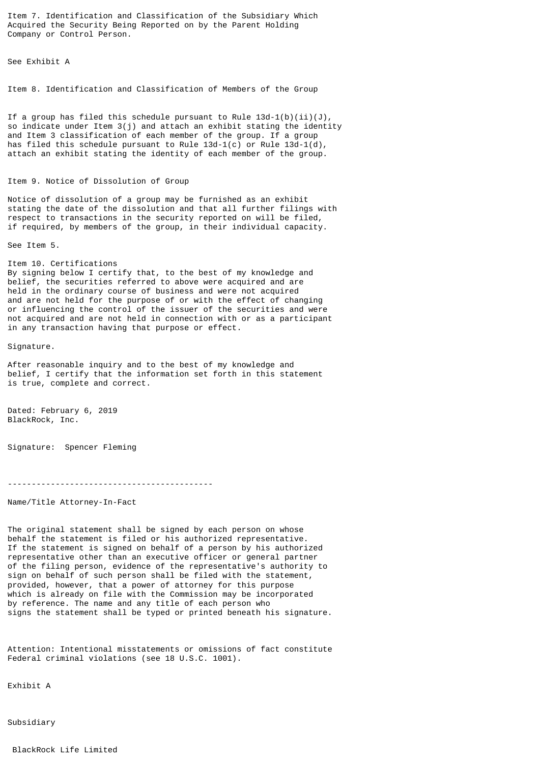Item 7. Identification and Classification of the Subsidiary Which Acquired the Security Being Reported on by the Parent Holding Company or Control Person.

See Exhibit A

Item 8. Identification and Classification of Members of the Group

If a group has filed this schedule pursuant to Rule  $13d-1(b)(ii)(J)$ so indicate under Item 3(j) and attach an exhibit stating the identity and Item 3 classification of each member of the group. If a group has filed this schedule pursuant to Rule 13d-1(c) or Rule 13d-1(d), attach an exhibit stating the identity of each member of the group.

Item 9. Notice of Dissolution of Group

Notice of dissolution of a group may be furnished as an exhibit stating the date of the dissolution and that all further filings with respect to transactions in the security reported on will be filed, if required, by members of the group, in their individual capacity.

See Item 5.

Item 10. Certifications By signing below I certify that, to the best of my knowledge and belief, the securities referred to above were acquired and are held in the ordinary course of business and were not acquired and are not held for the purpose of or with the effect of changing or influencing the control of the issuer of the securities and were not acquired and are not held in connection with or as a participant in any transaction having that purpose or effect.

Signature.

After reasonable inquiry and to the best of my knowledge and belief, I certify that the information set forth in this statement is true, complete and correct.

Dated: February 6, 2019 BlackRock, Inc.

Signature: Spencer Fleming

```
-------------------------------------------
```
Name/Title Attorney-In-Fact

The original statement shall be signed by each person on whose behalf the statement is filed or his authorized representative. If the statement is signed on behalf of a person by his authorized representative other than an executive officer or general partner of the filing person, evidence of the representative's authority to sign on behalf of such person shall be filed with the statement, provided, however, that a power of attorney for this purpose which is already on file with the Commission may be incorporated by reference. The name and any title of each person who signs the statement shall be typed or printed beneath his signature.

Attention: Intentional misstatements or omissions of fact constitute Federal criminal violations (see 18 U.S.C. 1001).

Exhibit A

Subsidiary

BlackRock Life Limited